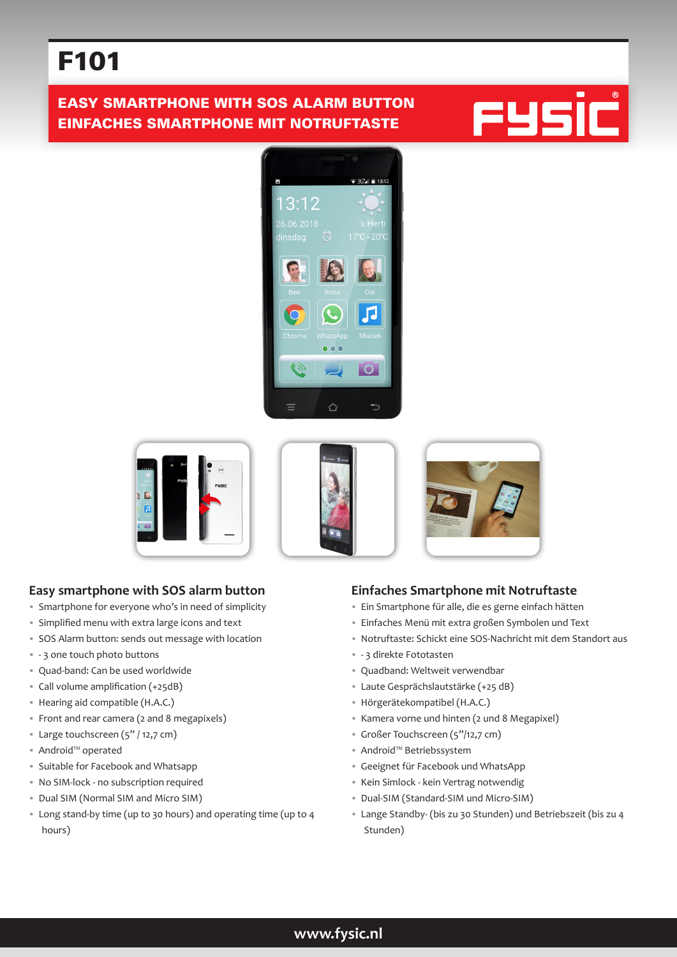# F101

## EASY SMARTPHONE WITH SOS ALARM BUTTON EINFACHES SMARTPHONE MIT NOTRUFTASTE











## **Easy smartphone with SOS alarm button**

- Smartphone for everyone who's in need of simplicity
- Simplified menu with extra large icons and text
- SOS Alarm button: sends out message with location
- - 3 one touch photo buttons
- Quad-band: Can be used worldwide
- Call volume amplification (+25dB)
- Hearing aid compatible (H.A.C.)
- Front and rear camera (2 and 8 megapixels)
- Large touchscreen (5" / 12,7 cm)
- Android™ operated
- Suitable for Facebook and Whatsapp
- No SIM-lock no subscription required
- Dual SIM (Normal SIM and Micro SIM)
- Long stand-by time (up to 30 hours) and operating time (up to 4 hours)

## **Einfaches Smartphone mit Notruftaste**

- Ein Smartphone für alle, die es gerne einfach hätten
- Einfaches Menü mit extra großen Symbolen und Text
- Notruftaste: Schickt eine SOS-Nachricht mit dem Standort aus
- - 3 direkte Fototasten
- Quadband: Weltweit verwendbar
- Laute Gesprächslautstärke (+25 dB)
- Hörgerätekompatibel (H.A.C.)
- Kamera vorne und hinten (2 und 8 Megapixel)
- Großer Touchscreen (5"/12,7 cm)
- Android™ Betriebssystem
- Geeignet für Facebook und WhatsApp
- Kein Simlock kein Vertrag notwendig
- Dual-SIM (Standard-SIM und Micro-SIM)
- Lange Standby- (bis zu 30 Stunden) und Betriebszeit (bis zu 4 Stunden)

## **www.fysic.nl**